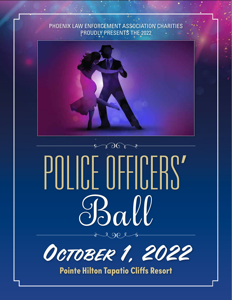## PHOENIX LAW ENFORCEMENT ASSOCIATION CHARITIES PROUDLY PRESENTS THE 2022



# $\sqrt{50}$ POLICE OFFICERS'



Pointe Hilton Tapatio Cliffs Resort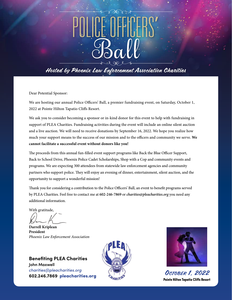# POLICE OFFICERS'

# Hosted by Phoenix Law Enforcement Association Charities

Dear Potential Sponsor:

We are hosting our annual Police Officers' Ball, a premier fundraising event, on Saturday, October 1, 2022 at Pointe Hilton Tapatio Cliffs Resort.

We ask you to consider becoming a sponsor or in-kind donor for this event to help with fundraising in support of PLEA Charities. Fundraising activities during the event will include an online silent auction and a live auction. We will need to receive donations by September 16, 2022. We hope you realize how much your support means to the success of our mission and to the officers and community we serve. **We cannot facilitate a successful event without donors like you!**

The proceeds from this annual fun-filled event support programs like Back the Blue Officer Support, Back to School Drive, Phoenix Police Cadet Scholarships, Shop with a Cop and community events and programs. We are expecting 300 attendees from statewide law enforcement agencies and community partners who support police. They will enjoy an evening of dinner, entertainment, silent auction, and the opportunity to support a wonderful mission!

Thank you for considering a contribution to the Police Officers' Ball, an event to benefit programs served by PLEA Charities. Feel free to contact me at **602-246-7869** or *charities@pleacharities.org* you need any additional information.

With gratitude,

**Darrell Kriplean President** *Phoenix Law Enforcement Association*

**Benefiting PLEA Charities John Maxwell** *charities@pleacharities.org* **charities@pleacharities.org**<br> **602.246.7869 pleacharities.org** Contracts Contracts Contracts Contracts Contracts Contracts Contracts Contracts





Pointe Hilton Tapatio Cliffs Resort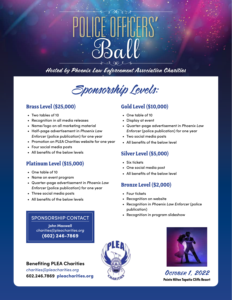# POLICE OFFICERS'

Hosted by Phoenix Law Enforcement Association Charities



### **Brass Level (\$25,000)**

- Two tables of 10
- Recognition in all media releases
- Name/logo on all marketing material
- Half-page advertisement in *Phoenix Law Enforcer* (police publication) for one year
- Promotion on PLEA Charities website for one year
- Four social media posts
- All benefits of the below levels

### **Platinum Level (\$15,000)**

- One table of 10
- Name on event program
- Quarter-page advertisement in *Phoenix Law Enforcer* (police publication) for one year
- Three social media posts
- All benefits of the below levels

### SPONSORSHIP CONTACT

**John Maxwell** *charities@pleacharities.org* (602) 246-7869

**Benefiting PLEA Charities**

*charities@pleacharities.org Charmes@pleacharmes.org*<br>602.246.7869 pleacharities.org Charmes October 1, 2022

## **Gold Level (\$10,000)**

- One table of 10
- Display at event
- Quarter-page advertisement in *Phoenix Law Enforcer* (police publication) for one year
- Two social media posts
- All benefits of the below level

### **Silver Level (\$5,000)**

- Six tickets
- One social media post
- All benefits of the below level

### **Bronze Level (\$2,000)**

- Four tickets
- Recognition on website
- Recognition in *Phoenix Law Enforcer* (police publication)
- Recognition in program slideshow